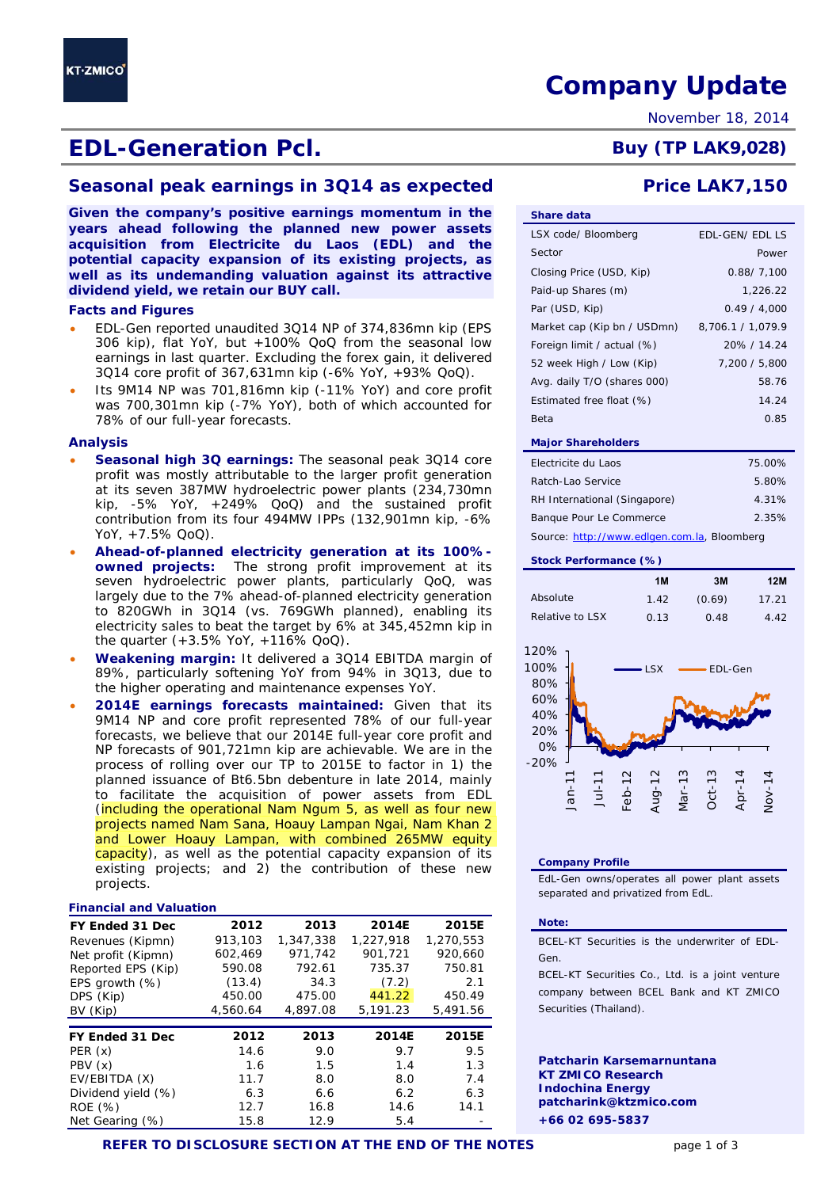# EDL-Generation Pcl. Buy (TP LAK9,028)

## **Seasonal peak earnings in 3Q14 as expected Price LAK7,150**

**Given the company's positive earnings momentum in the years ahead following the planned new power assets acquisition from Electricite du Laos (EDL) and the potential capacity expansion of its existing projects, as well as its undemanding valuation against its attractive dividend yield, we retain our BUY call.** 

### **Facts and Figures**

- 306 kip), flat YoY, but +100% QoQ from the seasonal low earnings in last quarter. Excluding the forex gain, it delivered
- Its 9M14 NP was 701,816mn kip (-11% YoY) and core profit was 700,301mn kip (-7% YoY), both of which accounted for 78% of our full-year forecasts.

### **Analysis**

**KT-ZMICO** 

- **Seasonal high 3Q earnings:** The seasonal peak 3Q14 core profit was mostly attributable to the larger profit generation at its seven 387MW hydroelectric power plants (234,730mn kip, -5% YoY, +249% QoQ) and the sustained profit contribution from its four 494MW IPPs (132,901mn kip, -6% YoY, +7.5% QoQ).
- **Ahead-of-planned electricity generation at its 100% owned projects:** The strong profit improvement at its seven hydroelectric power plants, particularly QoQ, was largely due to the 7% ahead-of-planned electricity generation to 820GWh in 3Q14 (vs. 769GWh planned), enabling its electricity sales to beat the target by 6% at 345,452mn kip in the quarter (+3.5% YoY, +116% QoQ).
- 89%, particularly softening YoY from 94% in 3Q13, due to the higher operating and maintenance expenses YoY.
- 9M14 NP and core profit represented 78% of our full-year forecasts, we believe that our 2014E full-year core profit and NP forecasts of 901,721mn kip are achievable. We are in the process of rolling over our TP to 2015E to factor in 1) the planned issuance of Bt6.5bn debenture in late 2014, mainly to facilitate the acquisition of power assets from EDL (including the operational Nam Ngum 5, as well as four new projects named Nam Sana, Hoauy Lampan Ngai, Nam Khan 2 and Lower Hoauy Lampan, with combined 265MW equity capacity), as well as the potential capacity expansion of its existing projects; and 2) the contribution of these new projects.

### **Financial and Valuation**

| FY Ended 31 Dec    | 2012     | 2013      | 2014E     | 2015E     |
|--------------------|----------|-----------|-----------|-----------|
| Revenues (Kipmn)   | 913,103  | 1,347,338 | 1,227,918 | 1,270,553 |
| Net profit (Kipmn) | 602,469  | 971.742   | 901,721   | 920.660   |
| Reported EPS (Kip) | 590.08   | 792.61    | 735.37    | 750.81    |
| EPS growth (%)     | (13.4)   | 34.3      | (7.2)     | 2.1       |
| DPS (Kip)          | 450.00   | 475.00    | 441.22    | 450.49    |
| BV (Kip)           | 4,560.64 | 4,897.08  | 5,191.23  | 5,491.56  |
|                    |          |           |           |           |
|                    |          |           |           |           |
| FY Ended 31 Dec    | 2012     | 2013      | 2014E     | 2015E     |
| PER(x)             | 14.6     | 9.0       | 9.7       | 9.5       |
| PBV(x)             | 1.6      | 1.5       | 1.4       | 1.3       |
| EV/EBITDA (X)      | 11.7     | 8.0       | 8.0       | 7.4       |
| Dividend yield (%) | 6.3      | 6.6       | 6.2       | 6.3       |
| ROE (%)            | 12.7     | 16.8      | 14.6      | 14.1      |

- EDL-Gen reported unaudited 3Q14 NP of 374,836mn kip (EPS 3Q14 core profit of 367,631mn kip (-6% YoY, +93% QoQ).
- 

- 
- 
- **Weakening margin:** It delivered a 3Q14 EBITDA margin of
- **2014E earnings forecasts maintained:** Given that its

# **REFER TO DISCLOSURE SECTION AT THE END OF THE NOTES** page 1 of 3

# **Company Update**

November 18, 2014

| <b>Share data</b>           |                        |
|-----------------------------|------------------------|
| LSX code/ Bloomberg         | <b>EDL-GEN/ EDL LS</b> |
| Sector                      | Power                  |
| Closing Price (USD, Kip)    | 0.88/7.100             |
| Paid-up Shares (m)          | 1,226.22               |
| Par (USD, Kip)              | 0.49 / 4,000           |
| Market cap (Kip bn / USDmn) | 8,706.1 / 1,079.9      |
| Foreign limit / actual (%)  | 20% / 14.24            |
| 52 week High / Low (Kip)    | 7,200 / 5,800          |
| Avg. daily T/O (shares 000) | 58.76                  |
| Estimated free float (%)    | 14.24                  |
| Beta                        | 0.85                   |
| <b>Major Shareholders</b>   |                        |
|                             |                        |

| Electricite du Laos          | 75.00% |  |  |  |  |
|------------------------------|--------|--|--|--|--|
| Ratch-Lao Service            | 5.80%  |  |  |  |  |
| RH International (Singapore) | 4.31%  |  |  |  |  |
| Banque Pour Le Commerce      | 2.35%  |  |  |  |  |
|                              |        |  |  |  |  |

*Source: http://www.edlgen.com.la, Bloomberg* 

### **Stock Performance (%)**

|                 | 1M   | 3M     | 12M   |
|-----------------|------|--------|-------|
| Absolute        | 1.42 | (0.69) | 17.21 |
| Relative to LSX | 0.13 | 0.48   | 4.42  |



### **Company Profile**

EdL-Gen owns/operates all power plant assets separated and privatized from EdL.

### **Note:**

BCEL-KT Securities is the underwriter of EDL-Gen.

BCEL-KT Securities Co., Ltd. is a joint venture company between BCEL Bank and KT ZMICO Securities (Thailand).

**Patcharin Karsemarnuntana KT ZMICO Research Indochina Energy patcharink@ktzmico.com +66 02 695-5837**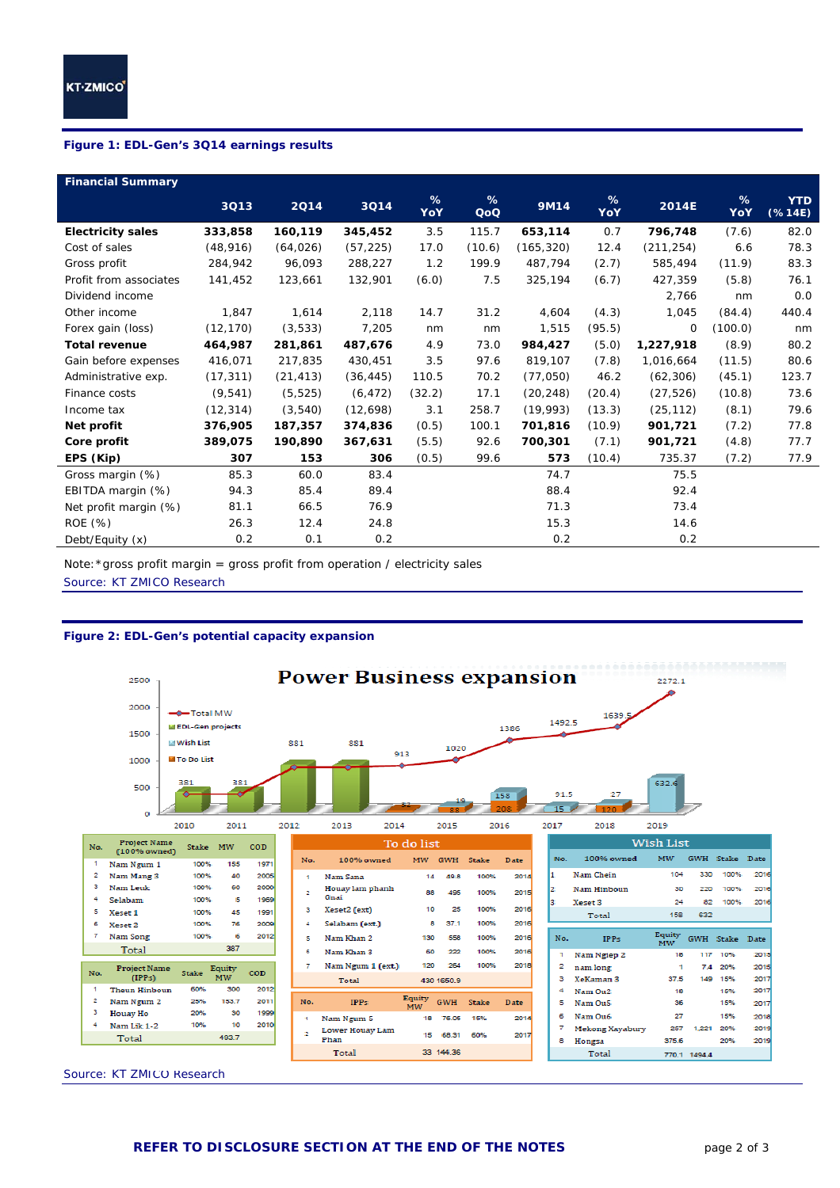ī

l

### **Figure 1: EDL-Gen's 3Q14 earnings results**

| <b>Financial Summary</b> |           |           |           |          |          |            |          |            |          |                       |
|--------------------------|-----------|-----------|-----------|----------|----------|------------|----------|------------|----------|-----------------------|
|                          | 3Q13      | 2014      | 3Q14      | %<br>YoY | %<br>QoQ | 9M14       | %<br>YoY | 2014E      | %<br>YoY | <b>YTD</b><br>(% 14E) |
| <b>Electricity sales</b> | 333,858   | 160,119   | 345,452   | 3.5      | 115.7    | 653,114    | 0.7      | 796,748    | (7.6)    | 82.0                  |
| Cost of sales            | (48, 916) | (64, 026) | (57, 225) | 17.0     | (10.6)   | (165, 320) | 12.4     | (211, 254) | 6.6      | 78.3                  |
| Gross profit             | 284,942   | 96.093    | 288,227   | 1.2      | 199.9    | 487,794    | (2.7)    | 585,494    | (11.9)   | 83.3                  |
| Profit from associates   | 141,452   | 123,661   | 132,901   | (6.0)    | 7.5      | 325,194    | (6.7)    | 427,359    | (5.8)    | 76.1                  |
| Dividend income          |           |           |           |          |          |            |          | 2,766      | nm       | 0.0                   |
| Other income             | 1,847     | 1,614     | 2,118     | 14.7     | 31.2     | 4,604      | (4.3)    | 1,045      | (84.4)   | 440.4                 |
| Forex gain (loss)        | (12, 170) | (3,533)   | 7,205     | nm       | nm       | 1,515      | (95.5)   | 0          | (100.0)  | nm                    |
| <b>Total revenue</b>     | 464,987   | 281,861   | 487,676   | 4.9      | 73.0     | 984,427    | (5.0)    | 1,227,918  | (8.9)    | 80.2                  |
| Gain before expenses     | 416,071   | 217,835   | 430,451   | 3.5      | 97.6     | 819,107    | (7.8)    | 1,016,664  | (11.5)   | 80.6                  |
| Administrative exp.      | (17, 311) | (21, 413) | (36, 445) | 110.5    | 70.2     | (77,050)   | 46.2     | (62, 306)  | (45.1)   | 123.7                 |
| Finance costs            | (9, 541)  | (5, 525)  | (6, 472)  | (32.2)   | 17.1     | (20, 248)  | (20.4)   | (27, 526)  | (10.8)   | 73.6                  |
| Income tax               | (12, 314) | (3,540)   | (12,698)  | 3.1      | 258.7    | (19,993)   | (13.3)   | (25, 112)  | (8.1)    | 79.6                  |
| Net profit               | 376,905   | 187,357   | 374,836   | (0.5)    | 100.1    | 701,816    | (10.9)   | 901,721    | (7.2)    | 77.8                  |
| Core profit              | 389,075   | 190,890   | 367,631   | (5.5)    | 92.6     | 700,301    | (7.1)    | 901,721    | (4.8)    | 77.7                  |
| EPS (Kip)                | 307       | 153       | 306       | (0.5)    | 99.6     | 573        | (10.4)   | 735.37     | (7.2)    | 77.9                  |
| Gross margin (%)         | 85.3      | 60.0      | 83.4      |          |          | 74.7       |          | 75.5       |          |                       |
| EBITDA margin (%)        | 94.3      | 85.4      | 89.4      |          |          | 88.4       |          | 92.4       |          |                       |
| Net profit margin (%)    | 81.1      | 66.5      | 76.9      |          |          | 71.3       |          | 73.4       |          |                       |
| ROE (%)                  | 26.3      | 12.4      | 24.8      |          |          | 15.3       |          | 14.6       |          |                       |
| Debt/Equity (x)          | 0.2       | 0.1       | 0.2       |          |          | 0.2        |          | 0.2        |          |                       |

Note:\*gross profit margin = gross profit from operation / electricity sales

*Source: KT ZMICO Research* 

### **Figure 2: EDL-Gen's potential capacity expansion**



*Source: KT ZMICO Research*